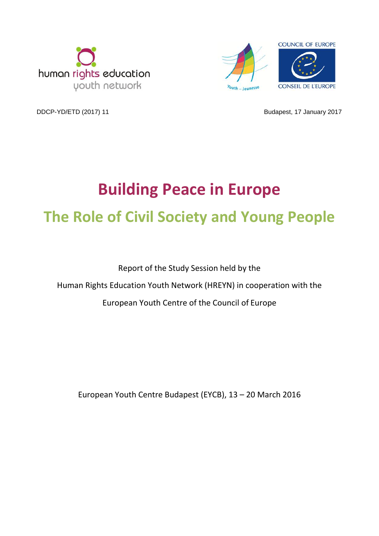



DDCP-YD/ETD (2017) 11 **Budapest, 17 January 2017** 

# **Building Peace in Europe The Role of Civil Society and Young People**

Report of the Study Session held by the Human Rights Education Youth Network (HREYN) in cooperation with the European Youth Centre of the Council of Europe

European Youth Centre Budapest (EYCB), 13 – 20 March 2016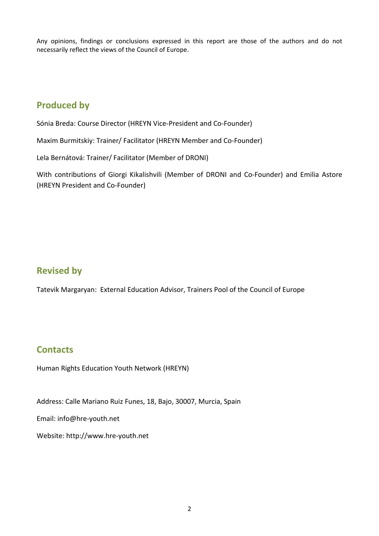Any opinions, findings or conclusions expressed in this report are those of the authors and do not necessarily reflect the views of the Council of Europe.

### **Produced by**

Sónia Breda: Course Director (HREYN Vice-President and Co-Founder)

Maxim Burmitskiy: Trainer/ Facilitator (HREYN Member and Co-Founder)

Lela Bernátová: Trainer/ Facilitator (Member of DRONI)

With contributions of Giorgi Kikalishvili (Member of DRONI and Co-Founder) and Emilia Astore (HREYN President and Co-Founder)

### **Revised by**

Tatevik Margaryan: External Education Advisor, Trainers Pool of the Council of Europe

### **Contacts**

Human Rights Education Youth Network (HREYN)

Address: Calle Mariano Ruiz Funes, 18, Bajo, 30007, Murcia, Spain

Email: info@hre-youth.net

Website: http://www.hre-youth.net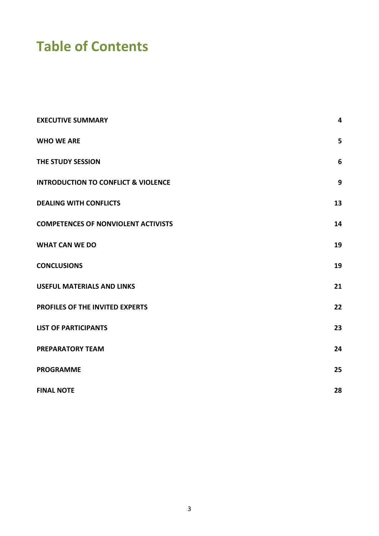# **Table of Contents**

| <b>EXECUTIVE SUMMARY</b>                       | 4  |
|------------------------------------------------|----|
| <b>WHO WE ARE</b>                              | 5  |
| THE STUDY SESSION                              | 6  |
| <b>INTRODUCTION TO CONFLICT &amp; VIOLENCE</b> | 9  |
| <b>DEALING WITH CONFLICTS</b>                  | 13 |
| <b>COMPETENCES OF NONVIOLENT ACTIVISTS</b>     | 14 |
| <b>WHAT CAN WE DO</b>                          | 19 |
| <b>CONCLUSIONS</b>                             | 19 |
| <b>USEFUL MATERIALS AND LINKS</b>              | 21 |
| PROFILES OF THE INVITED EXPERTS                | 22 |
| <b>LIST OF PARTICIPANTS</b>                    | 23 |
| <b>PREPARATORY TEAM</b>                        | 24 |
| <b>PROGRAMME</b>                               | 25 |
| <b>FINAL NOTE</b>                              | 28 |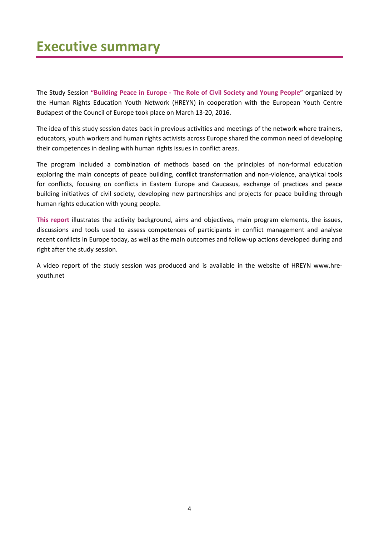### **Executive summary**

The Study Session **"Building Peace in Europe - The Role of Civil Society and Young People"** organized by the Human Rights Education Youth Network (HREYN) in cooperation with the European Youth Centre Budapest of the Council of Europe took place on March 13-20, 2016.

The idea of this study session dates back in previous activities and meetings of the network where trainers, educators, youth workers and human rights activists across Europe shared the common need of developing their competences in dealing with human rights issues in conflict areas.

The program included a combination of methods based on the principles of non-formal education exploring the main concepts of peace building, conflict transformation and non-violence, analytical tools for conflicts, focusing on conflicts in Eastern Europe and Caucasus, exchange of practices and peace building initiatives of civil society, developing new partnerships and projects for peace building through human rights education with young people.

**This report** illustrates the activity background, aims and objectives, main program elements, the issues, discussions and tools used to assess competences of participants in conflict management and analyse recent conflicts in Europe today, as well as the main outcomes and follow-up actions developed during and right after the study session.

A video report of the study session was produced and is available in the website of HREYN [www.hre](http://www.hre-youth.net/)[youth.net](http://www.hre-youth.net/)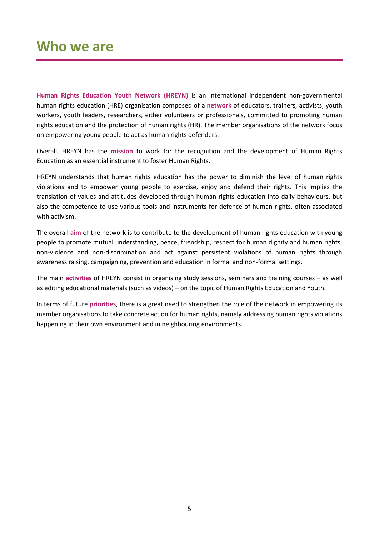**Human Rights Education Youth Network (HREYN)** is an international independent non-governmental human rights education (HRE) organisation composed of a **network** of educators, trainers, activists, youth workers, youth leaders, researchers, either volunteers or professionals, committed to promoting human rights education and the protection of human rights (HR). The member organisations of the network focus on empowering young people to act as human rights defenders.

Overall, HREYN has the **mission** to work for the recognition and the development of Human Rights Education as an essential instrument to foster Human Rights.

HREYN understands that human rights education has the power to diminish the level of human rights violations and to empower young people to exercise, enjoy and defend their rights. This implies the translation of values and attitudes developed through human rights education into daily behaviours, but also the competence to use various tools and instruments for defence of human rights, often associated with activism.

The overall **aim** of the network is to contribute to the development of human rights education with young people to promote mutual understanding, peace, friendship, respect for human dignity and human rights, non-violence and non-discrimination and act against persistent violations of human rights through awareness raising, campaigning, prevention and education in formal and non-formal settings.

The main **activities** of HREYN consist in organising study sessions, seminars and training courses – as well as editing educational materials (such as videos) – on the topic of Human Rights Education and Youth.

In terms of future **priorities**, there is a great need to strengthen the role of the network in empowering its member organisations to take concrete action for human rights, namely addressing human rights violations happening in their own environment and in neighbouring environments.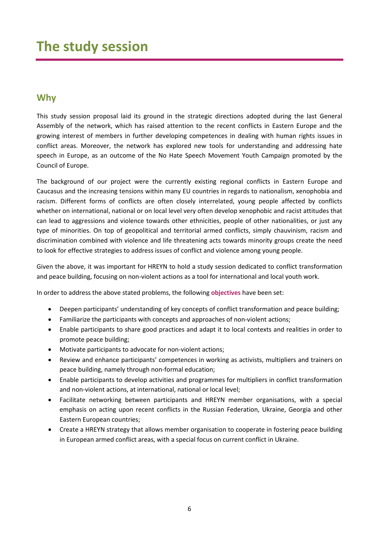### **Why**

This study session proposal laid its ground in the strategic directions adopted during the last General Assembly of the network, which has raised attention to the recent conflicts in Eastern Europe and the growing interest of members in further developing competences in dealing with human rights issues in conflict areas. Moreover, the network has explored new tools for understanding and addressing hate speech in Europe, as an outcome of the No Hate Speech Movement Youth Campaign promoted by the Council of Europe.

The background of our project were the currently existing regional conflicts in Eastern Europe and Caucasus and the increasing tensions within many EU countries in regards to nationalism, xenophobia and racism. Different forms of conflicts are often closely interrelated, young people affected by conflicts whether on international, national or on local level very often develop xenophobic and racist attitudes that can lead to aggressions and violence towards other ethnicities, people of other nationalities, or just any type of minorities. On top of geopolitical and territorial armed conflicts, simply chauvinism, racism and discrimination combined with violence and life threatening acts towards minority groups create the need to look for effective strategies to address issues of conflict and violence among young people.

Given the above, it was important for HREYN to hold a study session dedicated to conflict transformation and peace building, focusing on non-violent actions as a tool for international and local youth work.

In order to address the above stated problems, the following **objectives** have been set:

- Deepen participants' understanding of key concepts of conflict transformation and peace building;
- Familiarize the participants with concepts and approaches of non-violent actions;
- Enable participants to share good practices and adapt it to local contexts and realities in order to promote peace building;
- Motivate participants to advocate for non-violent actions;
- Review and enhance participants' competences in working as activists, multipliers and trainers on peace building, namely through non-formal education;
- Enable participants to develop activities and programmes for multipliers in conflict transformation and non-violent actions, at international, national or local level;
- Facilitate networking between participants and HREYN member organisations, with a special emphasis on acting upon recent conflicts in the Russian Federation, Ukraine, Georgia and other Eastern European countries;
- Create a HREYN strategy that allows member organisation to cooperate in fostering peace building in European armed conflict areas, with a special focus on current conflict in Ukraine.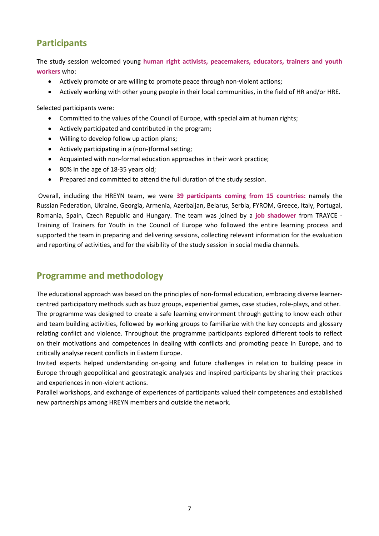### **Participants**

The study session welcomed young **human right activists, peacemakers, educators, trainers and youth workers** who:

- Actively promote or are willing to promote peace through non-violent actions;
- Actively working with other young people in their local communities, in the field of HR and/or HRE.

Selected participants were:

- Committed to the values of the Council of Europe, with special aim at human rights;
- Actively participated and contributed in the program;
- Willing to develop follow up action plans;
- Actively participating in a (non-)formal setting;
- Acquainted with non-formal education approaches in their work practice;
- 80% in the age of 18-35 years old;
- Prepared and committed to attend the full duration of the study session.

Overall, including the HREYN team, we were **39 participants coming from 15 countries:** namely the Russian Federation, Ukraine, Georgia, Armenia, Azerbaijan, Belarus, Serbia, FYROM, Greece, Italy, Portugal, Romania, Spain, Czech Republic and Hungary. The team was joined by a **job shadower** from TRAYCE - Training of Trainers for Youth in the Council of Europe who followed the entire learning process and supported the team in preparing and delivering sessions, collecting relevant information for the evaluation and reporting of activities, and for the visibility of the study session in social media channels.

### **Programme and methodology**

The educational approach was based on the principles of non-formal education, embracing diverse learnercentred participatory methods such as buzz groups, experiential games, case studies, role-plays, and other. The programme was designed to create a safe learning environment through getting to know each other and team building activities, followed by working groups to familiarize with the key concepts and glossary relating conflict and violence. Throughout the programme participants explored different tools to reflect on their motivations and competences in dealing with conflicts and promoting peace in Europe, and to critically analyse recent conflicts in Eastern Europe.

Invited experts helped understanding on-going and future challenges in relation to building peace in Europe through geopolitical and geostrategic analyses and inspired participants by sharing their practices and experiences in non-violent actions.

Parallel workshops, and exchange of experiences of participants valued their competences and established new partnerships among HREYN members and outside the network.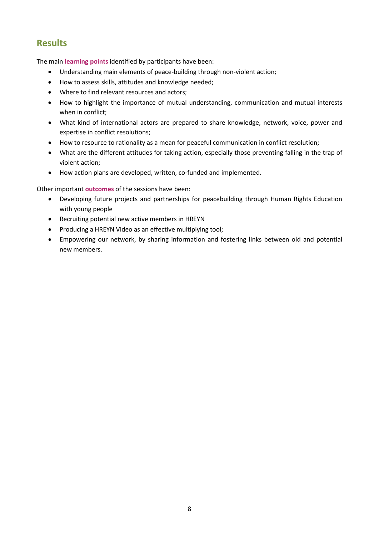### **Results**

The main **learning points** identified by participants have been:

- Understanding main elements of peace-building through non-violent action;
- How to assess skills, attitudes and knowledge needed;
- Where to find relevant resources and actors;
- How to highlight the importance of mutual understanding, communication and mutual interests when in conflict;
- What kind of international actors are prepared to share knowledge, network, voice, power and expertise in conflict resolutions;
- How to resource to rationality as a mean for peaceful communication in conflict resolution;
- What are the different attitudes for taking action, especially those preventing falling in the trap of violent action;
- How action plans are developed, written, co-funded and implemented.

Other important **outcomes** of the sessions have been:

- Developing future projects and partnerships for peacebuilding through Human Rights Education with young people
- Recruiting potential new active members in HREYN
- Producing a HREYN Video as an effective multiplying tool;
- Empowering our network, by sharing information and fostering links between old and potential new members.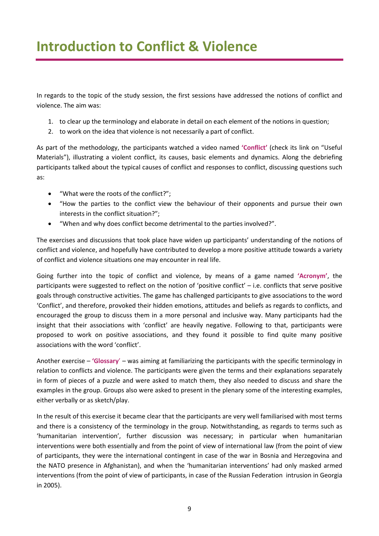In regards to the topic of the study session, the first sessions have addressed the notions of conflict and violence. The aim was:

- 1. to clear up the terminology and elaborate in detail on each element of the notions in question;
- 2. to work on the idea that violence is not necessarily a part of conflict.

As part of the methodology, the participants watched a video named **'Conflict'** (check its link on "Useful Materials"), illustrating a violent conflict, its causes, basic elements and dynamics. Along the debriefing participants talked about the typical causes of conflict and responses to conflict, discussing questions such as:

- "What were the roots of the conflict?";
- "How the parties to the conflict view the behaviour of their opponents and pursue their own interests in the conflict situation?";
- "When and why does conflict become detrimental to the parties involved?".

The exercises and discussions that took place have widen up participants' understanding of the notions of conflict and violence, and hopefully have contributed to develop a more positive attitude towards a variety of conflict and violence situations one may encounter in real life.

Going further into the topic of conflict and violence, by means of a game named **'Acronym'**, the participants were suggested to reflect on the notion of 'positive conflict' – i.e. conflicts that serve positive goals through constructive activities. The game has challenged participants to give associations to the word 'Conflict', and therefore, provoked their hidden emotions, attitudes and beliefs as regards to conflicts, and encouraged the group to discuss them in a more personal and inclusive way. Many participants had the insight that their associations with 'conflict' are heavily negative. Following to that, participants were proposed to work on positive associations, and they found it possible to find quite many positive associations with the word 'conflict'.

Another exercise – **'Glossary**' – was aiming at familiarizing the participants with the specific terminology in relation to conflicts and violence. The participants were given the terms and their explanations separately in form of pieces of a puzzle and were asked to match them, they also needed to discuss and share the examples in the group. Groups also were asked to present in the plenary some of the interesting examples, either verbally or as sketch/play.

In the result of this exercise it became clear that the participants are very well familiarised with most terms and there is a consistency of the terminology in the group. Notwithstanding, as regards to terms such as 'humanitarian intervention', further discussion was necessary; in particular when humanitarian interventions were both essentially and from the point of view of international law (from the point of view of participants, they were the international contingent in case of the war in Bosnia and Herzegovina and the NATO presence in Afghanistan), and when the 'humanitarian interventions' had only masked armed interventions (from the point of view of participants, in case of the Russian Federation intrusion in Georgia in 2005).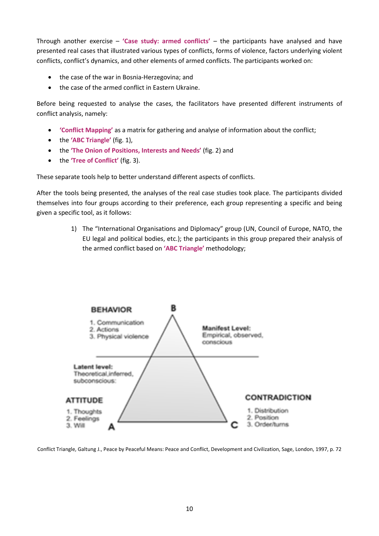Through another exercise – **'Case study: armed conflicts'** – the participants have analysed and have presented real cases that illustrated various types of conflicts, forms of violence, factors underlying violent conflicts, conflict's dynamics, and other elements of armed conflicts. The participants worked on:

- the case of the war in Bosnia-Herzegovina; and
- the case of the armed conflict in Eastern Ukraine.

Before being requested to analyse the cases, the facilitators have presented different instruments of conflict analysis, namely:

- **'Conflict Mapping'** as a matrix for gathering and analyse of information about the conflict;
- the **'ABC Triangle'** (fig. 1),
- the **'The Onion of Positions, Interests and Needs'** (fig. 2) and
- the **'Tree of Conflict'** (fig. 3).

These separate tools help to better understand different aspects of conflicts.

After the tools being presented, the analyses of the real case studies took place. The participants divided themselves into four groups according to their preference, each group representing a specific and being given a specific tool, as it follows:

> 1) The "International Organisations and Diplomacy" group (UN, Council of Europe, NATO, the EU legal and political bodies, etc.); the participants in this group prepared their analysis of the armed conflict based on **'ABC Triangle'** methodology;



Conflict Triangle, Galtung J., Peace by Peaceful Means: Peace and Conflict, Development and Civilization, Sage, London, 1997, p. 72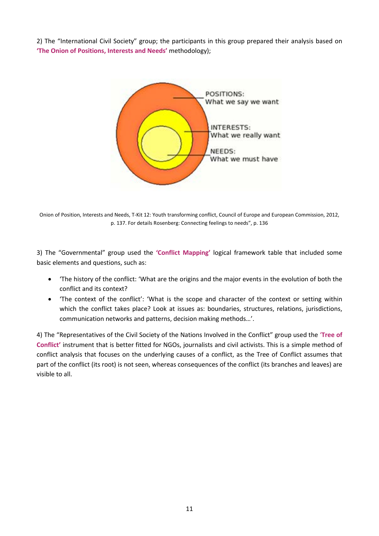2) The "International Civil Society" group; the participants in this group prepared their analysis based on **'The Onion of Positions, Interests and Needs'** methodology);



Onion of Position, Interests and Needs, T-Kit 12: Youth transforming conflict, Council of Europe and European Commission, 2012, p. 137. For details Rosenberg: Connecting feelings to needs", p. 136

3) The "Governmental" group used the **'Conflict Mapping'** logical framework table that included some basic elements and questions, such as:

- 'The history of the conflict: 'What are the origins and the major events in the evolution of both the conflict and its context?
- 'The context of the conflict': 'What is the scope and character of the context or setting within which the conflict takes place? Look at issues as: boundaries, structures, relations, jurisdictions, communication networks and patterns, decision making methods…'.

4) The "Representatives of the Civil Society of the Nations Involved in the Conflict" group used the '**Tree of Conflict'** instrument that is better fitted for NGOs, journalists and civil activists. This is a simple method of conflict analysis that focuses on the underlying causes of a conflict, as the Tree of Conflict assumes that part of the conflict (its root) is not seen, whereas consequences of the conflict (its branches and leaves) are visible to all.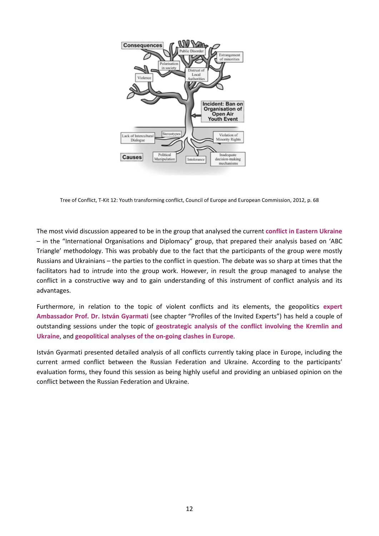

Tree of Conflict, T-Kit 12: Youth transforming conflict, Council of Europe and European Commission, 2012, p. 68

The most vivid discussion appeared to be in the group that analysed the current **conflict in Eastern Ukraine** – in the "International Organisations and Diplomacy" group, that prepared their analysis based on 'ABC Triangle' methodology. This was probably due to the fact that the participants of the group were mostly Russians and Ukrainians – the parties to the conflict in question. The debate was so sharp at times that the facilitators had to intrude into the group work. However, in result the group managed to analyse the conflict in a constructive way and to gain understanding of this instrument of conflict analysis and its advantages.

Furthermore, in relation to the topic of violent conflicts and its elements, the geopolitics **expert Ambassador Prof. Dr. István Gyarmati** (see chapter "Profiles of the Invited Experts") has held a couple of outstanding sessions under the topic of **geostrategic analysis of the conflict involving the Kremlin and Ukraine**, and **geopolitical analyses of the on-going clashes in Europe**.

István Gyarmati presented detailed analysis of all conflicts currently taking place in Europe, including the current armed conflict between the Russian Federation and Ukraine. According to the participants' evaluation forms, they found this session as being highly useful and providing an unbiased opinion on the conflict between the Russian Federation and Ukraine.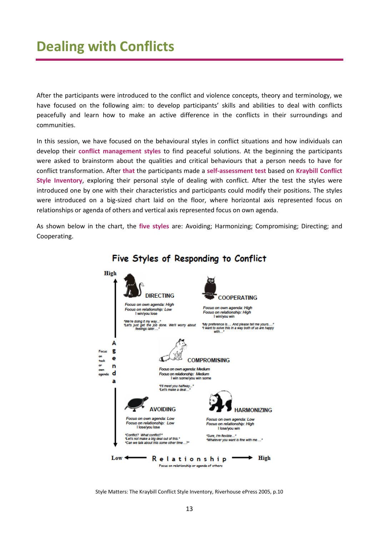After the participants were introduced to the conflict and violence concepts, theory and terminology, we have focused on the following aim: to develop participants' skills and abilities to deal with conflicts peacefully and learn how to make an active difference in the conflicts in their surroundings and communities.

In this session, we have focused on the behavioural styles in conflict situations and how individuals can develop their **conflict management styles** to find peaceful solutions. At the beginning the participants were asked to brainstorm about the qualities and critical behaviours that a person needs to have for conflict transformation. After **that** the participants made a **self-assessment test** based on **Kraybill Conflict Style Inventory**, exploring their personal style of dealing with conflict. After the test the styles were introduced one by one with their characteristics and participants could modify their positions. The styles were introduced on a big-sized chart laid on the floor, where horizontal axis represented focus on relationships or agenda of others and vertical axis represented focus on own agenda.

As shown below in the chart, the **five styles** are: Avoiding; Harmonizing; Compromising; Directing; and Cooperating.



### Five Styles of Responding to Conflict

Style Matters: The Kraybill Conflict Style Inventory, Riverhouse ePress 2005, p.10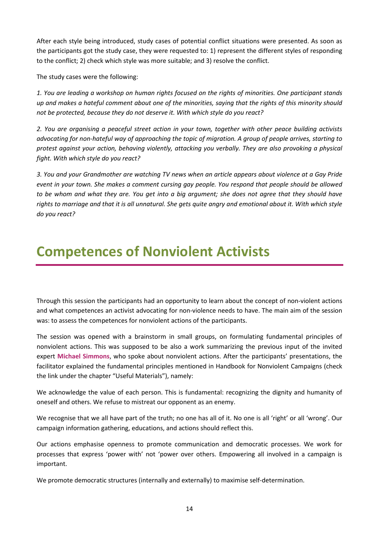After each style being introduced, study cases of potential conflict situations were presented. As soon as the participants got the study case, they were requested to: 1) represent the different styles of responding to the conflict; 2) check which style was more suitable; and 3) resolve the conflict.

The study cases were the following:

*1. You are leading a workshop on human rights focused on the rights of minorities. One participant stands up and makes a hateful comment about one of the minorities, saying that the rights of this minority should not be protected, because they do not deserve it. With which style do you react?*

*2. You are organising a peaceful street action in your town, together with other peace building activists advocating for non-hateful way of approaching the topic of migration. A group of people arrives, starting to protest against your action, behaving violently, attacking you verbally. They are also provoking a physical fight. With which style do you react?*

*3. You and your Grandmother are watching TV news when an article appears about violence at a Gay Pride event in your town. She makes a comment cursing gay people. You respond that people should be allowed to be whom and what they are. You get into a big argument; she does not agree that they should have rights to marriage and that it is all unnatural. She gets quite angry and emotional about it. With which style do you react?*

# **Competences of Nonviolent Activists**

Through this session the participants had an opportunity to learn about the concept of non-violent actions and what competences an activist advocating for non-violence needs to have. The main aim of the session was: to assess the competences for nonviolent actions of the participants.

The session was opened with a brainstorm in small groups, on formulating fundamental principles of nonviolent actions. This was supposed to be also a work summarizing the previous input of the invited expert **Michael Simmons**, who spoke about nonviolent actions. After the participants' presentations, the facilitator explained the fundamental principles mentioned in Handbook for Nonviolent Campaigns (check the link under the chapter "Useful Materials"), namely:

We acknowledge the value of each person. This is fundamental: recognizing the dignity and humanity of oneself and others. We refuse to mistreat our opponent as an enemy.

We recognise that we all have part of the truth; no one has all of it. No one is all 'right' or all 'wrong'. Our campaign information gathering, educations, and actions should reflect this.

Our actions emphasise openness to promote communication and democratic processes. We work for processes that express 'power with' not 'power over others. Empowering all involved in a campaign is important.

We promote democratic structures (internally and externally) to maximise self-determination.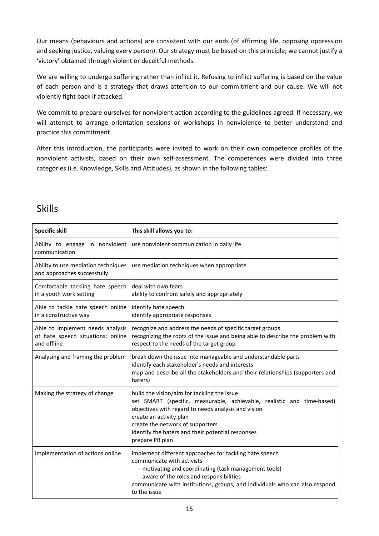Our means (behaviours and actions) are consistent with our ends (of affirming life, opposing oppression and seeking justice, valuing every person). Our strategy must be based on this principle; we cannot justify a 'victory' obtained through violent or deceitful methods.

We are willing to undergo suffering rather than inflict it. Refusing to inflict suffering is based on the value of each person and is a strategy that draws attention to our commitment and our cause. We will not violently fight back if attacked.

We commit to prepare ourselves for nonviolent action according to the guidelines agreed. If necessary, we will attempt to arrange orientation sessions or workshops in nonviolence to better understand and practice this commitment.

After this introduction, the participants were invited to work on their own competence profiles of the nonviolent activists, based on their own self-assessment. The competences were divided into three categories (i.e. Knowledge, Skills and Attitudes), as shown in the following tables:

### Skills

| <b>Specific skill</b>                                                                | This skill allows you to:                                                                                                                                                                                                                                                                                           |
|--------------------------------------------------------------------------------------|---------------------------------------------------------------------------------------------------------------------------------------------------------------------------------------------------------------------------------------------------------------------------------------------------------------------|
| Ability to engage in nonviolent<br>communication                                     | use nonviolent communication in daily life                                                                                                                                                                                                                                                                          |
| Ability to use mediation techniques<br>and approaches successfully                   | use mediation techniques when appropriate                                                                                                                                                                                                                                                                           |
| Comfortable tackling hate speech<br>in a youth work setting                          | deal with own fears<br>ability to confront safely and appropriately                                                                                                                                                                                                                                                 |
| Able to tackle hate speech online<br>in a constructive way                           | identify hate speech<br>identify appropriate responses                                                                                                                                                                                                                                                              |
| Able to implement needs analysis<br>of hate speech situations: online<br>and offline | recognize and address the needs of specific target groups<br>recognizing the roots of the issue and being able to describe the problem with<br>respect to the needs of the target group                                                                                                                             |
| Analysing and framing the problem                                                    | break down the issue into manageable and understandable parts<br>identify each stakeholder's needs and interests<br>map and describe all the stakeholders and their relationships (supporters and<br>haters)                                                                                                        |
| Making the strategy of change                                                        | build the vision/aim for tackling the issue<br>set SMART (specific, measurable, achievable, realistic and time-based)<br>objectives with regard to needs analysis and vision<br>create an activity plan<br>create the network of supporters<br>identify the haters and their potential responses<br>prepare PR plan |
| Implementation of actions online                                                     | implement different approaches for tackling hate speech<br>communicate with activists<br>- motivating and coordinating (task management tools)<br>- aware of the roles and responsibilities<br>communicate with institutions, groups, and individuals who can also respond<br>to the issue                          |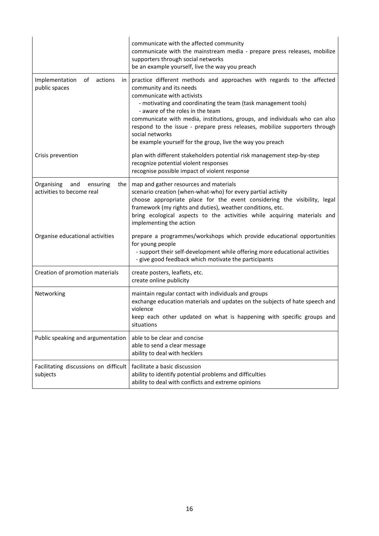|                                                            | communicate with the affected community<br>communicate with the mainstream media - prepare press releases, mobilize<br>supporters through social networks<br>be an example yourself, live the way you preach                                                                                                                                                                                                                                                                       |
|------------------------------------------------------------|------------------------------------------------------------------------------------------------------------------------------------------------------------------------------------------------------------------------------------------------------------------------------------------------------------------------------------------------------------------------------------------------------------------------------------------------------------------------------------|
| Implementation<br>of<br>actions<br>in<br>public spaces     | practice different methods and approaches with regards to the affected<br>community and its needs<br>communicate with activists<br>- motivating and coordinating the team (task management tools)<br>- aware of the roles in the team<br>communicate with media, institutions, groups, and individuals who can also<br>respond to the issue - prepare press releases, mobilize supporters through<br>social networks<br>be example yourself for the group, live the way you preach |
| Crisis prevention                                          | plan with different stakeholders potential risk management step-by-step<br>recognize potential violent responses<br>recognise possible impact of violent response                                                                                                                                                                                                                                                                                                                  |
| Organising<br>ensuring<br>and<br>activities to become real | the   map and gather resources and materials<br>scenario creation (when-what-who) for every partial activity<br>choose appropriate place for the event considering the visibility, legal<br>framework (my rights and duties), weather conditions, etc.<br>bring ecological aspects to the activities while acquiring materials and<br>implementing the action                                                                                                                      |
| Organise educational activities                            | prepare a programmes/workshops which provide educational opportunities<br>for young people<br>- support their self-development while offering more educational activities<br>- give good feedback which motivate the participants                                                                                                                                                                                                                                                  |
| Creation of promotion materials                            | create posters, leaflets, etc.<br>create online publicity                                                                                                                                                                                                                                                                                                                                                                                                                          |
| Networking                                                 | maintain regular contact with individuals and groups<br>exchange education materials and updates on the subjects of hate speech and<br>violence<br>keep each other updated on what is happening with specific groups and<br>situations                                                                                                                                                                                                                                             |
| Public speaking and argumentation                          | able to be clear and concise<br>able to send a clear message<br>ability to deal with hecklers                                                                                                                                                                                                                                                                                                                                                                                      |
| Facilitating discussions on difficult<br>subjects          | facilitate a basic discussion<br>ability to identify potential problems and difficulties<br>ability to deal with conflicts and extreme opinions                                                                                                                                                                                                                                                                                                                                    |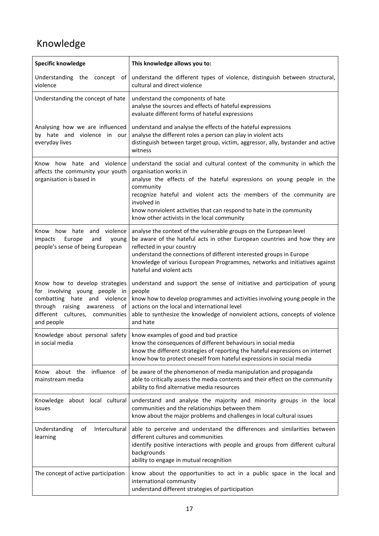### Knowledge

| <b>Specific knowledge</b>                                                                                                                                                                 | This knowledge allows you to:                                                                                                                                                                                                                                                                                                                                                                        |
|-------------------------------------------------------------------------------------------------------------------------------------------------------------------------------------------|------------------------------------------------------------------------------------------------------------------------------------------------------------------------------------------------------------------------------------------------------------------------------------------------------------------------------------------------------------------------------------------------------|
| violence                                                                                                                                                                                  | Understanding the concept of understand the different types of violence, distinguish between structural,<br>cultural and direct violence                                                                                                                                                                                                                                                             |
| Understanding the concept of hate                                                                                                                                                         | understand the components of hate<br>analyse the sources and effects of hateful expressions<br>evaluate different forms of hateful expressions                                                                                                                                                                                                                                                       |
| Analysing how we are influenced<br>by hate and violence in our<br>everyday lives                                                                                                          | understand and analyse the effects of the hateful expressions<br>analyse the different roles a person can play in violent acts<br>distinguish between target group, victim, aggressor, ally, bystander and active<br>witness                                                                                                                                                                         |
| Know how hate and violence<br>affects the community your youth<br>organisation is based in                                                                                                | understand the social and cultural context of the community in which the<br>organisation works in<br>analyse the effects of the hateful expressions on young people in the<br>community<br>recognize hateful and violent acts the members of the community are<br>involved in<br>know nonviolent activities that can respond to hate in the community<br>know other activists in the local community |
| Know how hate and violence<br>impacts<br>Europe<br>and<br>young<br>people's sense of being European                                                                                       | analyse the context of the vulnerable groups on the European level<br>be aware of the hateful acts in other European countries and how they are<br>reflected in your country<br>understand the connections of different interested groups in Europe<br>knowledge of various European Programmes, networks and initiatives against<br>hateful and violent acts                                        |
| Know how to develop strategies<br>for involving young people in<br>combatting hate and violence<br>raising<br>through<br>awareness<br>of<br>different cultures, communities<br>and people | understand and support the sense of initiative and participation of young<br>people<br>know how to develop programmes and activities involving young people in the<br>actions on the local and international level<br>able to synthesize the knowledge of nonviolent actions, concepts of violence<br>and hate                                                                                       |
| in social media                                                                                                                                                                           | Knowledge about personal safety   know examples of good and bad practice<br>know the consequences of different behaviours in social media<br>know the different strategies of reporting the hateful expressions on internet<br>know how to protect oneself from hateful expressions in social media                                                                                                  |
| influence<br>about the<br>Know<br>of I<br>mainstream media                                                                                                                                | be aware of the phenomenon of media manipulation and propaganda<br>able to critically assess the media contents and their effect on the community<br>ability to find alternative media resources                                                                                                                                                                                                     |
| Knowledge about local cultural<br>issues                                                                                                                                                  | understand and analyse the majority and minority groups in the local<br>communities and the relationships between them<br>know about the major problems and challenges in local cultural issues                                                                                                                                                                                                      |
| Understanding<br>Intercultural<br>of<br>learning                                                                                                                                          | able to perceive and understand the differences and similarities between<br>different cultures and communities<br>identify positive interactions with people and groups from different cultural<br>backgrounds<br>ability to engage in mutual recognition                                                                                                                                            |
| The concept of active participation                                                                                                                                                       | know about the opportunities to act in a public space in the local and<br>international community<br>understand different strategies of participation                                                                                                                                                                                                                                                |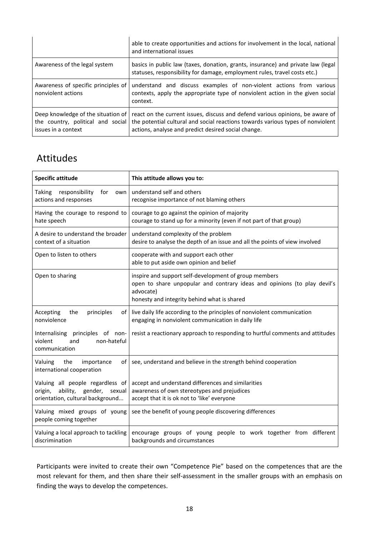|                                                           | able to create opportunities and actions for involvement in the local, national<br>and international issues                                                                                                                                               |
|-----------------------------------------------------------|-----------------------------------------------------------------------------------------------------------------------------------------------------------------------------------------------------------------------------------------------------------|
| Awareness of the legal system                             | basics in public law (taxes, donation, grants, insurance) and private law (legal<br>statuses, responsibility for damage, employment rules, travel costs etc.)                                                                                             |
| Awareness of specific principles of<br>nonviolent actions | understand and discuss examples of non-violent actions from various<br>contexts, apply the appropriate type of nonviolent action in the given social<br>context.                                                                                          |
| Deep knowledge of the situation of<br>issues in a context | react on the current issues, discuss and defend various opinions, be aware of<br>the country, political and social the potential cultural and social reactions towards various types of nonviolent<br>actions, analyse and predict desired social change. |

### Attitudes

j.

| <b>Specific attitude</b>                                                                                      | This attitude allows you to:                                                                                                                                                                  |
|---------------------------------------------------------------------------------------------------------------|-----------------------------------------------------------------------------------------------------------------------------------------------------------------------------------------------|
| responsibility<br>Taking<br>for<br>own<br>actions and responses                                               | understand self and others<br>recognise importance of not blaming others                                                                                                                      |
| Having the courage to respond to<br>hate speech                                                               | courage to go against the opinion of majority<br>courage to stand up for a minority (even if not part of that group)                                                                          |
| A desire to understand the broader<br>context of a situation                                                  | understand complexity of the problem<br>desire to analyse the depth of an issue and all the points of view involved                                                                           |
| Open to listen to others                                                                                      | cooperate with and support each other<br>able to put aside own opinion and belief                                                                                                             |
| Open to sharing                                                                                               | inspire and support self-development of group members<br>open to share unpopular and contrary ideas and opinions (to play devil's<br>advocate)<br>honesty and integrity behind what is shared |
| Accepting<br>the<br>principles<br>of l<br>nonviolence                                                         | live daily life according to the principles of nonviolent communication<br>engaging in nonviolent communication in daily life                                                                 |
| principles of non-<br>Internalising<br>violent<br>non-hateful<br>and<br>communication                         | resist a reactionary approach to responding to hurtful comments and attitudes                                                                                                                 |
| Valuing<br>the<br>importance<br>of I<br>international cooperation                                             | see, understand and believe in the strength behind cooperation                                                                                                                                |
| Valuing all people regardless of<br>ability, gender,<br>origin,<br>sexual<br>orientation, cultural background | accept and understand differences and similarities<br>awareness of own stereotypes and prejudices<br>accept that it is ok not to 'like' everyone                                              |
| Valuing mixed groups of young<br>people coming together                                                       | see the benefit of young people discovering differences                                                                                                                                       |
| Valuing a local approach to tackling<br>discrimination                                                        | encourage groups of young people to work together from different<br>backgrounds and circumstances                                                                                             |

Participants were invited to create their own "Competence Pie" based on the competences that are the most relevant for them, and then share their self-assessment in the smaller groups with an emphasis on finding the ways to develop the competences.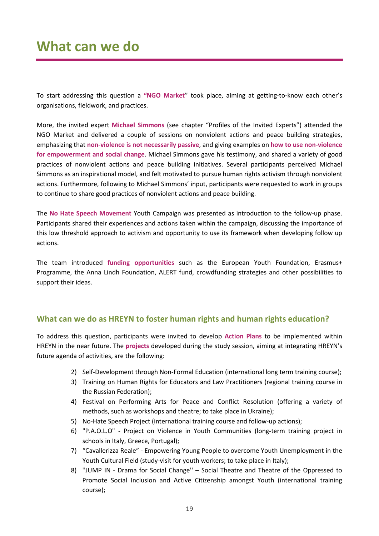### **What can we do**

To start addressing this question a **"NGO Market**" took place, aiming at getting-to-know each other's organisations, fieldwork, and practices.

More, the invited expert **Michael Simmons** (see chapter "Profiles of the Invited Experts") attended the NGO Market and delivered a couple of sessions on nonviolent actions and peace building strategies, emphasizing that **non-violence is not necessarily passive**, and giving examples on **how to use non-violence for empowerment and social change**. Michael Simmons gave his testimony, and shared a variety of good practices of nonviolent actions and peace building initiatives. Several participants perceived Michael Simmons as an inspirational model, and felt motivated to pursue human rights activism through nonviolent actions. Furthermore, following to Michael Simmons' input, participants were requested to work in groups to continue to share good practices of nonviolent actions and peace building.

The **No Hate Speech Movement** Youth Campaign was presented as introduction to the follow-up phase. Participants shared their experiences and actions taken within the campaign, discussing the importance of this low threshold approach to activism and opportunity to use its framework when developing follow up actions.

The team introduced **funding opportunities** such as the European Youth Foundation, Erasmus+ Programme, the Anna Lindh Foundation, ALERT fund, crowdfunding strategies and other possibilities to support their ideas.

#### **What can we do as HREYN to foster human rights and human rights education?**

To address this question, participants were invited to develop **Action Plans** to be implemented within HREYN in the near future. The **projects** developed during the study session, aiming at integrating HREYN's future agenda of activities, are the following:

- 2) Self-Development through Non-Formal Education (international long term training course);
- 3) Training on Human Rights for Educators and Law Practitioners (regional training course in the Russian Federation);
- 4) Festival on Performing Arts for Peace and Conflict Resolution (offering a variety of methods, such as workshops and theatre; to take place in Ukraine);
- 5) No-Hate Speech Project (international training course and follow-up actions);
- 6) "P.A.O.L.O" Project on Violence in Youth Communities (long-term training project in schools in Italy, Greece, Portugal);
- 7) "Cavallerizza Reale" Empowering Young People to overcome Youth Unemployment in the Youth Cultural Field (study-visit for youth workers; to take place in Italy);
- 8) ''JUMP IN Drama for Social Change'' Social Theatre and Theatre of the Oppressed to Promote Social Inclusion and Active Citizenship amongst Youth (international training course);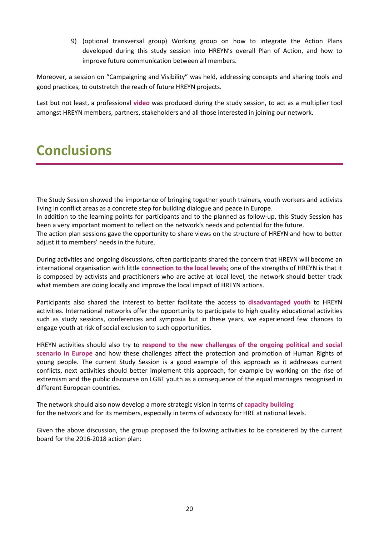9) (optional transversal group) Working group on how to integrate the Action Plans developed during this study session into HREYN's overall Plan of Action, and how to improve future communication between all members.

Moreover, a session on "Campaigning and Visibility" was held, addressing concepts and sharing tools and good practices, to outstretch the reach of future HREYN projects.

Last but not least, a professional **video** was produced during the study session, to act as a multiplier tool amongst HREYN members, partners, stakeholders and all those interested in joining our network.

### **Conclusions**

The Study Session showed the importance of bringing together youth trainers, youth workers and activists living in conflict areas as a concrete step for building dialogue and peace in Europe.

In addition to the learning points for participants and to the planned as follow-up, this Study Session has been a very important moment to reflect on the network's needs and potential for the future. The action plan sessions gave the opportunity to share views on the structure of HREYN and how to better

adjust it to members' needs in the future.

During activities and ongoing discussions, often participants shared the concern that HREYN will become an international organisation with little **connection to the local levels**; one of the strengths of HREYN is that it is composed by activists and practitioners who are active at local level, the network should better track what members are doing locally and improve the local impact of HREYN actions.

Participants also shared the interest to better facilitate the access to **disadvantaged youth** to HREYN activities. International networks offer the opportunity to participate to high quality educational activities such as study sessions, conferences and symposia but in these years, we experienced few chances to engage youth at risk of social exclusion to such opportunities.

HREYN activities should also try to **respond to the new challenges of the ongoing political and social scenario in Europe** and how these challenges affect the protection and promotion of Human Rights of young people. The current Study Session is a good example of this approach as it addresses current conflicts, next activities should better implement this approach, for example by working on the rise of extremism and the public discourse on LGBT youth as a consequence of the equal marriages recognised in different European countries.

The network should also now develop a more strategic vision in terms of **capacity building** for the network and for its members, especially in terms of advocacy for HRE at national levels.

Given the above discussion, the group proposed the following activities to be considered by the current board for the 2016-2018 action plan: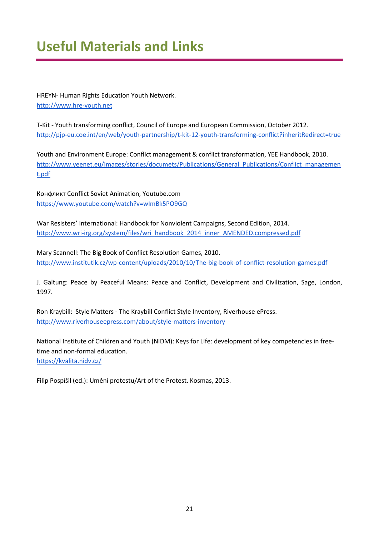# **Useful Materials and Links**

HREYN- Human Rights Education Youth Network. [http://www.hre-youth.net](http://www.hre-youth.net/)

T-Kit - Youth transforming conflict, Council of Europe and European Commission, October 2012. <http://pjp-eu.coe.int/en/web/youth-partnership/t-kit-12-youth-transforming-conflict?inheritRedirect=true>

Youth and Environment Europe: Conflict management & conflict transformation, YEE Handbook, 2010. [http://www.yeenet.eu/images/stories/documets/Publications/General\\_Publications/Conflict\\_managemen](http://www.yeenet.eu/images/stories/documets/Publications/General_Publications/Conflict_management.pdf) [t.pdf](http://www.yeenet.eu/images/stories/documets/Publications/General_Publications/Conflict_management.pdf)

Конфликт Conflict Soviet Animation, Youtube.com <https://www.youtube.com/watch?v=wImBk5PO9GQ>

War Resisters' International: Handbook for Nonviolent Campaigns, Second Edition, 2014. [http://www.wri-irg.org/system/files/wri\\_handbook\\_2014\\_inner\\_AMENDED.compressed.pdf](http://www.wri-irg.org/system/files/wri_handbook_2014_inner_AMENDED.compressed.pdf)

Mary Scannell: The Big Book of Conflict Resolution Games, 2010. <http://www.institutik.cz/wp-content/uploads/2010/10/The-big-book-of-conflict-resolution-games.pdf>

J. Galtung: Peace by Peaceful Means: Peace and Conflict, Development and Civilization, Sage, London, 1997.

Ron Kraybill: Style Matters - The Kraybill Conflict Style Inventory, Riverhouse ePress. <http://www.riverhouseepress.com/about/style-matters-inventory>

National Institute of Children and Youth (NIDM): Keys for Life: development of key competencies in freetime and non-formal education.

<https://kvalita.nidv.cz/>

Filip Pospíšil (ed.): Umění protestu/Art of the Protest. Kosmas, 2013.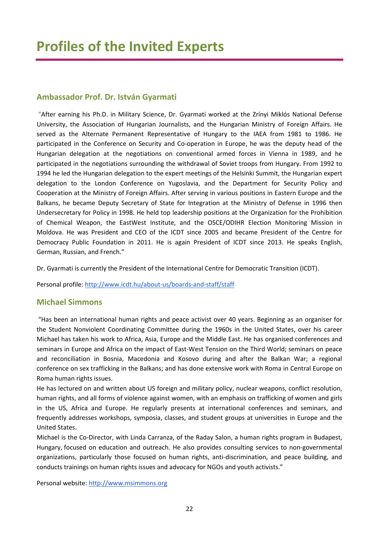### **Ambassador Prof. Dr. István Gyarmati**

"After earning his Ph.D. in Military Science, Dr. Gyarmati worked at the Zrínyi Miklós National Defense University, the Association of Hungarian Journalists, and the Hungarian Ministry of Foreign Affairs. He served as the Alternate Permanent Representative of Hungary to the IAEA from 1981 to 1986. He participated in the Conference on Security and Co-operation in Europe, he was the deputy head of the Hungarian delegation at the negotiations on conventional armed forces in Vienna in 1989, and he participated in the negotiations surrounding the withdrawal of Soviet troops from Hungary. From 1992 to 1994 he led the Hungarian delegation to the expert meetings of the Helsinki Summit, the Hungarian expert delegation to the London Conference on Yugoslavia, and the Department for Security Policy and Cooperation at the Ministry of Foreign Affairs. After serving in various positions in Eastern Europe and the Balkans, he became Deputy Secretary of State for Integration at the Ministry of Defense in 1996 then Undersecretary for Policy in 1998. He held top leadership positions at the Organization for the Prohibition of Chemical Weapon, the EastWest Institute, and the OSCE/ODIHR Election Monitoring Mission in Moldova. He was President and CEO of the ICDT since 2005 and became President of the Centre for Democracy Public Foundation in 2011. He is again President of ICDT since 2013. He speaks English, German, Russian, and French."

Dr. Gyarmati is currently the President of the International Centre for Democratic Transition (ICDT).

Personal profile: <http://www.icdt.hu/about-us/boards-and-staff/staff>

#### **Michael Simmons**

"Has been an international human rights and peace activist over 40 years. Beginning as an organiser for the Student Nonviolent Coordinating Committee during the 1960s in the United States, over his career Michael has taken his work to Africa, Asia, Europe and the Middle East. He has organised conferences and seminars in Europe and Africa on the impact of East-West Tension on the Third World; seminars on peace and reconciliation in Bosnia, Macedonia and Kosovo during and after the Balkan War; a regional conference on sex trafficking in the Balkans; and has done extensive work with Roma in Central Europe on Roma human rights issues.

He has lectured on and written about US foreign and military policy, nuclear weapons, conflict resolution, human rights, and all forms of violence against women, with an emphasis on trafficking of women and girls in the US, Africa and Europe. He regularly presents at international conferences and seminars, and frequently addresses workshops, symposia, classes, and student groups at universities in Europe and the United States.

Michael is the Co-Director, with Linda Carranza, of the Raday Salon, a human rights program in Budapest, Hungary, focused on education and outreach. He also provides consulting services to non-governmental organizations, particularly those focused on human rights, anti-discrimination, and peace building, and conducts trainings on human rights issues and advocacy for NGOs and youth activists."

Personal website: [http://www.msimmons.org](http://www.msimmons.org/)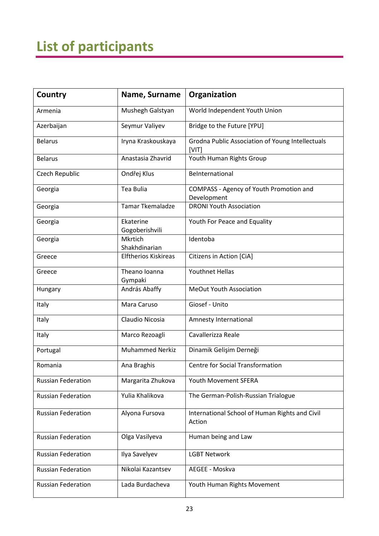# **List of participants**

| Country                   | Name, Surname               | Organization                                              |
|---------------------------|-----------------------------|-----------------------------------------------------------|
| Armenia                   | Mushegh Galstyan            | World Independent Youth Union                             |
| Azerbaijan                | Seymur Valiyev              | Bridge to the Future [YPU]                                |
| <b>Belarus</b>            | Iryna Kraskouskaya          | Grodna Public Association of Young Intellectuals<br>[VIT] |
| <b>Belarus</b>            | Anastasia Zhavrid           | Youth Human Rights Group                                  |
| <b>Czech Republic</b>     | Ondřej Klus                 | BeInternational                                           |
| Georgia                   | Tea Bulia                   | COMPASS - Agency of Youth Promotion and<br>Development    |
| Georgia                   | <b>Tamar Tkemaladze</b>     | <b>DRONI Youth Association</b>                            |
| Georgia                   | Ekaterine<br>Gogoberishvili | Youth For Peace and Equality                              |
| Georgia                   | Mkrtich<br>Shakhdinarian    | Identoba                                                  |
| Greece                    | <b>Elftherios Kiskireas</b> | Citizens in Action [CiA]                                  |
| Greece                    | Theano Ioanna<br>Gympaki    | <b>Youthnet Hellas</b>                                    |
| Hungary                   | András Abaffy               | MeOut Youth Association                                   |
| Italy                     | Mara Caruso                 | Giosef - Unito                                            |
| Italy                     | Claudio Nicosia             | Amnesty International                                     |
| Italy                     | Marco Rezoagli              | Cavallerizza Reale                                        |
| Portugal                  | <b>Muhammed Nerkiz</b>      | Dinamik Gelişim Derneği                                   |
| Romania                   | Ana Braghis                 | <b>Centre for Social Transformation</b>                   |
| <b>Russian Federation</b> | Margarita Zhukova           | Youth Movement SFERA                                      |
| <b>Russian Federation</b> | Yulia Khalikova             | The German-Polish-Russian Trialogue                       |
| <b>Russian Federation</b> | Alyona Fursova              | International School of Human Rights and Civil<br>Action  |
| <b>Russian Federation</b> | Olga Vasilyeva              | Human being and Law                                       |
| <b>Russian Federation</b> | Ilya Savelyev               | <b>LGBT Network</b>                                       |
| <b>Russian Federation</b> | Nikolai Kazantsev           | AEGEE - Moskva                                            |
| <b>Russian Federation</b> | Lada Burdacheva             | Youth Human Rights Movement                               |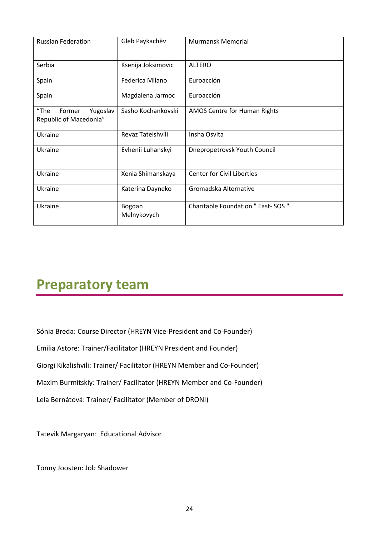| <b>Russian Federation</b>                            | Gleb Paykachëv        | <b>Murmansk Memorial</b>            |
|------------------------------------------------------|-----------------------|-------------------------------------|
| Serbia                                               | Ksenija Joksimovic    | <b>ALTERO</b>                       |
| Spain                                                | Federica Milano       | Euroacción                          |
| Spain                                                | Magdalena Jarmoc      | Euroacción                          |
| "The<br>Yugoslav<br>Former<br>Republic of Macedonia" | Sasho Kochankovski    | AMOS Centre for Human Rights        |
| Ukraine                                              | Revaz Tateishvili     | Insha Osvita                        |
| Ukraine                                              | Evhenii Luhanskyi     | Dnepropetrovsk Youth Council        |
| Ukraine                                              | Xenia Shimanskaya     | <b>Center for Civil Liberties</b>   |
| Ukraine                                              | Katerina Dayneko      | Gromadska Alternative               |
| Ukraine                                              | Bogdan<br>Melnykovych | Charitable Foundation " East- SOS " |

# **Preparatory team**

Sónia Breda: Course Director (HREYN Vice-President and Co-Founder)

Emilia Astore: Trainer/Facilitator (HREYN President and Founder)

Giorgi Kikalishvili: Trainer/ Facilitator (HREYN Member and Co-Founder)

Maxim Burmitskiy: Trainer/ Facilitator (HREYN Member and Co-Founder)

Lela Bernátová: Trainer/ Facilitator (Member of DRONI)

Tatevik Margaryan: Educational Advisor

Tonny Joosten: Job Shadower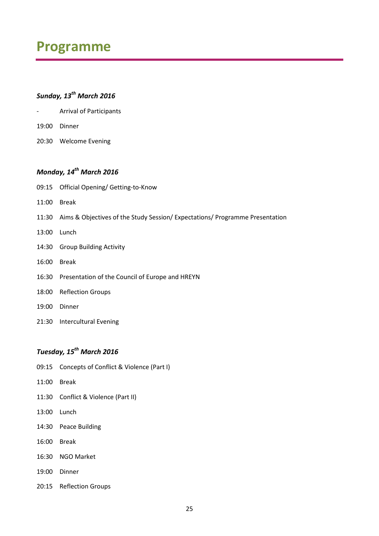### **Programme**

### *Sunday, 13th March 2016*

- Arrival of Participants
- 19:00 Dinner
- 20:30 Welcome Evening

### *Monday, 14th March 2016*

- 09:15 Official Opening/ Getting-to-Know
- 11:00 Break
- 11:30 Aims & Objectives of the Study Session/ Expectations/ Programme Presentation
- 13:00 Lunch
- 14:30 Group Building Activity
- 16:00 Break
- 16:30 Presentation of the Council of Europe and HREYN
- 18:00 Reflection Groups
- 19:00 Dinner
- 21:30 Intercultural Evening

### *Tuesday, 15th March 2016*

- 09:15 Concepts of Conflict & Violence (Part I)
- 11:00 Break
- 11:30 Conflict & Violence (Part II)
- 13:00 Lunch
- 14:30 Peace Building
- 16:00 Break
- 16:30 NGO Market
- 19:00 Dinner
- 20:15 Reflection Groups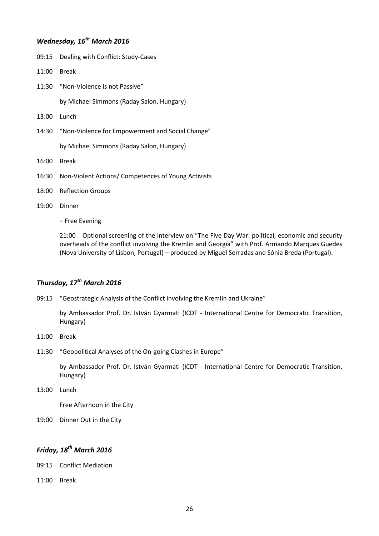### *Wednesday, 16th March 2016*

- 09:15 Dealing with Conflict: Study-Cases
- 11:00 Break
- 11:30 "Non-Violence is not Passive"

by Michael Simmons (Raday Salon, Hungary)

- 13:00 Lunch
- 14:30 "Non-Violence for Empowerment and Social Change"

by Michael Simmons (Raday Salon, Hungary)

- 16:00 Break
- 16:30 Non-Violent Actions/ Competences of Young Activists
- 18:00 Reflection Groups
- 19:00 Dinner

– Free Evening

21:00 Optional screening of the interview on "The Five Day War: political, economic and security overheads of the conflict involving the Kremlin and Georgia" with Prof. Armando Marques Guedes (Nova University of Lisbon, Portugal) – produced by Miguel Serradas and Sónia Breda (Portugal).

#### *Thursday, 17th March 2016*

09:15 "Geostrategic Analysis of the Conflict involving the Kremlin and Ukraine"

by Ambassador Prof. Dr. István Gyarmati (ICDT - International Centre for Democratic Transition, Hungary)

- 11:00 Break
- 11:30 "Geopolitical Analyses of the On-going Clashes in Europe"

by Ambassador Prof. Dr. István Gyarmati (ICDT - International Centre for Democratic Transition, Hungary)

13:00 Lunch

Free Afternoon in the City

19:00 Dinner Out in the City

#### *Friday, 18th March 2016*

09:15 Conflict Mediation

11:00 Break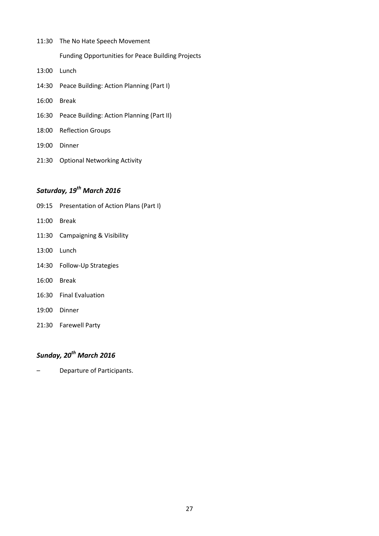- 11:30 The No Hate Speech Movement Funding Opportunities for Peace Building Projects 13:00 Lunch
- 14:30 Peace Building: Action Planning (Part I)
- 16:00 Break
- 16:30 Peace Building: Action Planning (Part II)
- 18:00 Reflection Groups
- 19:00 Dinner
- 21:30 Optional Networking Activity

### *Saturday, 19th March 2016*

- 09:15 Presentation of Action Plans (Part I)
- 11:00 Break
- 11:30 Campaigning & Visibility
- 13:00 Lunch
- 14:30 Follow-Up Strategies
- 16:00 Break
- 16:30 Final Evaluation
- 19:00 Dinner
- 21:30 Farewell Party

### *Sunday, 20th March 2016*

– Departure of Participants.